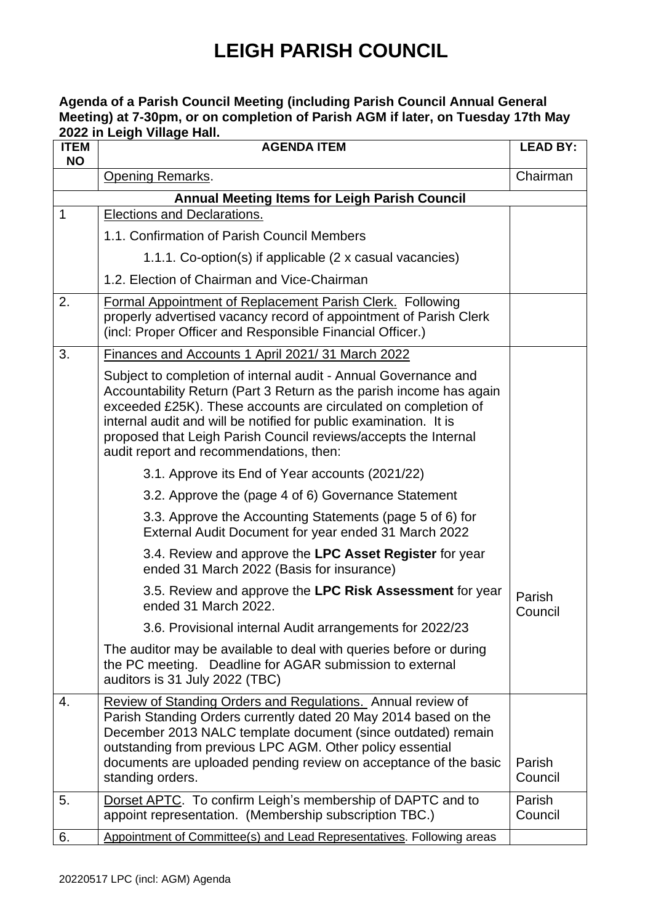#### **Agenda of a Parish Council Meeting (including Parish Council Annual General Meeting) at 7-30pm, or on completion of Parish AGM if later, on Tuesday 17th May 2022 in Leigh Village Hall.**

| <b>ITEM</b><br><b>NO</b> | וווטווי שעשווי זי וועשט ווי בשטב<br><b>AGENDA ITEM</b>                                                                                                                                                                                                                                                                                                                                      | <b>LEAD BY:</b>   |  |  |
|--------------------------|---------------------------------------------------------------------------------------------------------------------------------------------------------------------------------------------------------------------------------------------------------------------------------------------------------------------------------------------------------------------------------------------|-------------------|--|--|
|                          | <b>Opening Remarks.</b>                                                                                                                                                                                                                                                                                                                                                                     | Chairman          |  |  |
|                          | <b>Annual Meeting Items for Leigh Parish Council</b>                                                                                                                                                                                                                                                                                                                                        |                   |  |  |
| $\mathbf{1}$             | <b>Elections and Declarations.</b>                                                                                                                                                                                                                                                                                                                                                          |                   |  |  |
|                          | 1.1. Confirmation of Parish Council Members                                                                                                                                                                                                                                                                                                                                                 |                   |  |  |
|                          | 1.1.1. Co-option(s) if applicable (2 x casual vacancies)                                                                                                                                                                                                                                                                                                                                    |                   |  |  |
|                          | 1.2. Election of Chairman and Vice-Chairman                                                                                                                                                                                                                                                                                                                                                 |                   |  |  |
| 2.                       | Formal Appointment of Replacement Parish Clerk. Following<br>properly advertised vacancy record of appointment of Parish Clerk<br>(incl: Proper Officer and Responsible Financial Officer.)                                                                                                                                                                                                 |                   |  |  |
| 3.                       | Finances and Accounts 1 April 2021/31 March 2022                                                                                                                                                                                                                                                                                                                                            |                   |  |  |
|                          | Subject to completion of internal audit - Annual Governance and<br>Accountability Return (Part 3 Return as the parish income has again<br>exceeded £25K). These accounts are circulated on completion of<br>internal audit and will be notified for public examination. It is<br>proposed that Leigh Parish Council reviews/accepts the Internal<br>audit report and recommendations, then: |                   |  |  |
|                          | 3.1. Approve its End of Year accounts (2021/22)                                                                                                                                                                                                                                                                                                                                             |                   |  |  |
|                          | 3.2. Approve the (page 4 of 6) Governance Statement                                                                                                                                                                                                                                                                                                                                         |                   |  |  |
|                          | 3.3. Approve the Accounting Statements (page 5 of 6) for<br>External Audit Document for year ended 31 March 2022                                                                                                                                                                                                                                                                            |                   |  |  |
|                          | 3.4. Review and approve the LPC Asset Register for year<br>ended 31 March 2022 (Basis for insurance)                                                                                                                                                                                                                                                                                        |                   |  |  |
|                          | 3.5. Review and approve the LPC Risk Assessment for year<br>ended 31 March 2022.                                                                                                                                                                                                                                                                                                            | Parish<br>Council |  |  |
|                          | 3.6. Provisional internal Audit arrangements for 2022/23                                                                                                                                                                                                                                                                                                                                    |                   |  |  |
|                          | The auditor may be available to deal with queries before or during<br>the PC meeting. Deadline for AGAR submission to external<br>auditors is 31 July 2022 (TBC)                                                                                                                                                                                                                            |                   |  |  |
| 4.                       | Review of Standing Orders and Regulations. Annual review of<br>Parish Standing Orders currently dated 20 May 2014 based on the<br>December 2013 NALC template document (since outdated) remain<br>outstanding from previous LPC AGM. Other policy essential<br>documents are uploaded pending review on acceptance of the basic<br>standing orders.                                         | Parish<br>Council |  |  |
| 5.                       | Dorset APTC. To confirm Leigh's membership of DAPTC and to<br>appoint representation. (Membership subscription TBC.)                                                                                                                                                                                                                                                                        | Parish<br>Council |  |  |
| 6.                       | Appointment of Committee(s) and Lead Representatives. Following areas                                                                                                                                                                                                                                                                                                                       |                   |  |  |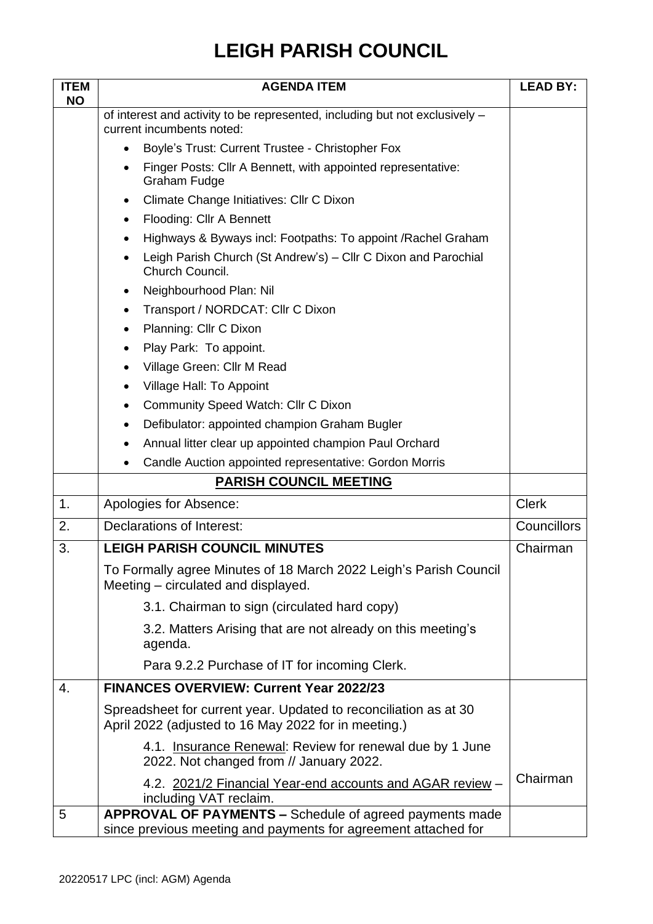| <b>ITEM</b> | <b>AGENDA ITEM</b>                                                                                                        | <b>LEAD BY:</b>    |
|-------------|---------------------------------------------------------------------------------------------------------------------------|--------------------|
| <b>NO</b>   | of interest and activity to be represented, including but not exclusively -                                               |                    |
|             | current incumbents noted:                                                                                                 |                    |
|             | Boyle's Trust: Current Trustee - Christopher Fox<br>$\bullet$                                                             |                    |
|             | Finger Posts: Cllr A Bennett, with appointed representative:<br><b>Graham Fudge</b>                                       |                    |
|             | Climate Change Initiatives: Cllr C Dixon<br>$\bullet$                                                                     |                    |
|             | Flooding: Cllr A Bennett<br>$\bullet$                                                                                     |                    |
|             | Highways & Byways incl: Footpaths: To appoint / Rachel Graham<br>$\bullet$                                                |                    |
|             | Leigh Parish Church (St Andrew's) - Cllr C Dixon and Parochial<br>Church Council.                                         |                    |
|             | Neighbourhood Plan: Nil                                                                                                   |                    |
|             | Transport / NORDCAT: Cllr C Dixon<br>$\bullet$                                                                            |                    |
|             | Planning: Cllr C Dixon<br>٠                                                                                               |                    |
|             | Play Park: To appoint.<br>٠                                                                                               |                    |
|             | Village Green: Cllr M Read                                                                                                |                    |
|             | Village Hall: To Appoint                                                                                                  |                    |
|             | Community Speed Watch: Cllr C Dixon<br>٠                                                                                  |                    |
|             | Defibulator: appointed champion Graham Bugler<br>٠                                                                        |                    |
|             | Annual litter clear up appointed champion Paul Orchard<br>$\bullet$                                                       |                    |
|             | Candle Auction appointed representative: Gordon Morris<br>$\bullet$                                                       |                    |
|             | <b>PARISH COUNCIL MEETING</b>                                                                                             |                    |
| 1.          | Apologies for Absence:                                                                                                    | <b>Clerk</b>       |
| 2.          | Declarations of Interest:                                                                                                 | <b>Councillors</b> |
| 3.          | <b>LEIGH PARISH COUNCIL MINUTES</b>                                                                                       | Chairman           |
|             | To Formally agree Minutes of 18 March 2022 Leigh's Parish Council<br>Meeting – circulated and displayed.                  |                    |
|             | 3.1. Chairman to sign (circulated hard copy)                                                                              |                    |
|             | 3.2. Matters Arising that are not already on this meeting's<br>agenda.                                                    |                    |
|             | Para 9.2.2 Purchase of IT for incoming Clerk.                                                                             |                    |
| 4.          | <b>FINANCES OVERVIEW: Current Year 2022/23</b>                                                                            |                    |
|             | Spreadsheet for current year. Updated to reconciliation as at 30<br>April 2022 (adjusted to 16 May 2022 for in meeting.)  |                    |
|             | 4.1. Insurance Renewal: Review for renewal due by 1 June<br>2022. Not changed from // January 2022.                       |                    |
|             | 4.2. 2021/2 Financial Year-end accounts and AGAR review -<br>including VAT reclaim.                                       | Chairman           |
| 5           | APPROVAL OF PAYMENTS - Schedule of agreed payments made<br>since previous meeting and payments for agreement attached for |                    |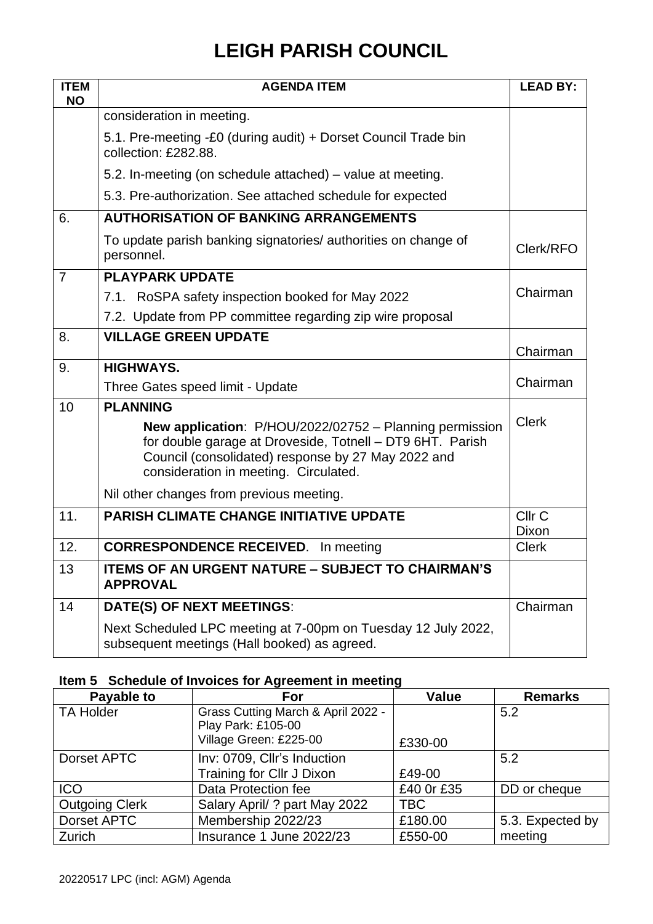| <b>ITEM</b><br><b>NO</b> | <b>AGENDA ITEM</b>                                                                                                                                                                                                  | <b>LEAD BY:</b>            |
|--------------------------|---------------------------------------------------------------------------------------------------------------------------------------------------------------------------------------------------------------------|----------------------------|
|                          | consideration in meeting.                                                                                                                                                                                           |                            |
|                          | 5.1. Pre-meeting -£0 (during audit) + Dorset Council Trade bin<br>collection: £282.88.                                                                                                                              |                            |
|                          | 5.2. In-meeting (on schedule attached) – value at meeting.                                                                                                                                                          |                            |
|                          | 5.3. Pre-authorization. See attached schedule for expected                                                                                                                                                          |                            |
| 6.                       | <b>AUTHORISATION OF BANKING ARRANGEMENTS</b>                                                                                                                                                                        |                            |
|                          | To update parish banking signatories/ authorities on change of<br>personnel.                                                                                                                                        | Clerk/RFO                  |
| $\overline{7}$           | <b>PLAYPARK UPDATE</b>                                                                                                                                                                                              |                            |
|                          | 7.1. RoSPA safety inspection booked for May 2022                                                                                                                                                                    | Chairman                   |
|                          | 7.2. Update from PP committee regarding zip wire proposal                                                                                                                                                           |                            |
| 8.                       | <b>VILLAGE GREEN UPDATE</b>                                                                                                                                                                                         | Chairman                   |
| 9.                       | <b>HIGHWAYS.</b>                                                                                                                                                                                                    |                            |
|                          | Three Gates speed limit - Update                                                                                                                                                                                    | Chairman                   |
| 10                       | <b>PLANNING</b>                                                                                                                                                                                                     |                            |
|                          | New application: P/HOU/2022/02752 - Planning permission<br>for double garage at Droveside, Totnell - DT9 6HT. Parish<br>Council (consolidated) response by 27 May 2022 and<br>consideration in meeting. Circulated. | <b>Clerk</b>               |
|                          | Nil other changes from previous meeting.                                                                                                                                                                            |                            |
| 11.                      | <b>PARISH CLIMATE CHANGE INITIATIVE UPDATE</b>                                                                                                                                                                      | Cllr <sub>C</sub><br>Dixon |
| 12.                      | <b>CORRESPONDENCE RECEIVED.</b> In meeting                                                                                                                                                                          | <b>Clerk</b>               |
| 13                       | ITEMS OF AN URGENT NATURE - SUBJECT TO CHAIRMAN'S<br><b>APPROVAL</b>                                                                                                                                                |                            |
| 14                       | DATE(S) OF NEXT MEETINGS:                                                                                                                                                                                           | Chairman                   |
|                          | Next Scheduled LPC meeting at 7-00pm on Tuesday 12 July 2022,<br>subsequent meetings (Hall booked) as agreed.                                                                                                       |                            |

#### **Item 5 Schedule of Invoices for Agreement in meeting**

| Payable to            | For                                | <b>Value</b> | <b>Remarks</b>   |
|-----------------------|------------------------------------|--------------|------------------|
| <b>TA Holder</b>      | Grass Cutting March & April 2022 - |              | 5.2              |
|                       | Play Park: £105-00                 |              |                  |
|                       | Village Green: £225-00             | £330-00      |                  |
| Dorset APTC           | Inv: 0709, Cllr's Induction        |              | 5.2              |
|                       | Training for Cllr J Dixon          | £49-00       |                  |
| <b>ICO</b>            | Data Protection fee                | £40 Or £35   | DD or cheque     |
| <b>Outgoing Clerk</b> | Salary April/ ? part May 2022      | <b>TBC</b>   |                  |
| Dorset APTC           | Membership 2022/23                 | £180.00      | 5.3. Expected by |
| Zurich                | Insurance 1 June 2022/23           | £550-00      | meeting          |